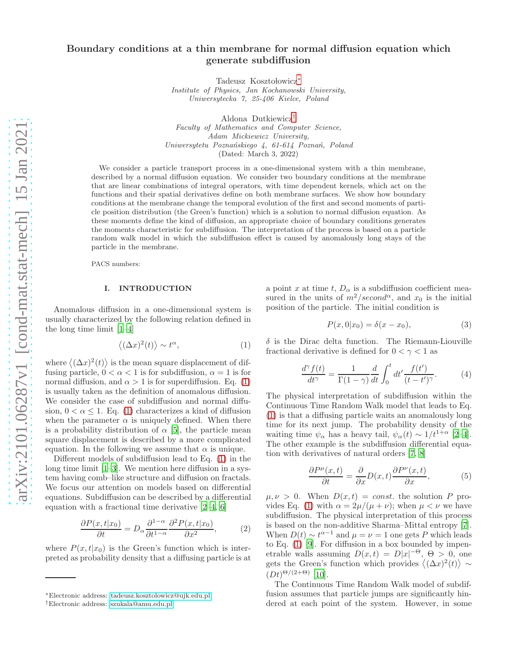# Boundary conditions at a thin membrane for normal diffusion equation which generate subdiffusion

Tadeusz Kosztołowicz<sup>\*</sup>

*Institute of Physics, Jan Kochanowski University, Uniwersytecka 7, 25-406 Kielce, Poland*

Aldona Dutkiewicz[†](#page-0-1) *Faculty of Mathematics and Computer Science, Adam Mickiewicz University, Uniwersytetu Pozna´nskiego 4, 61-614 Pozna´n, Poland* (Dated: March 3, 2022)

We consider a particle transport process in a one-dimensional system with a thin membrane, described by a normal diffusion equation. We consider two boundary conditions at the membrane that are linear combinations of integral operators, with time dependent kernels, which act on the functions and their spatial derivatives define on both membrane surfaces. We show how boundary conditions at the membrane change the temporal evolution of the first and second moments of particle position distribution (the Green's function) which is a solution to normal diffusion equation. As these moments define the kind of diffusion, an appropriate choice of boundary conditions generates the moments characteristic for subdiffusion. The interpretation of the process is based on a particle random walk model in which the subdiffusion effect is caused by anomalously long stays of the particle in the membrane.

PACS numbers:

# I. INTRODUCTION

Anomalous diffusion in a one-dimensional system is usually characterized by the following relation defined in the long time limit [\[1](#page-9-0)[–4\]](#page-9-1)

<span id="page-0-2"></span>
$$
\langle (\Delta x)^2(t) \rangle \sim t^{\alpha},\tag{1}
$$

where  $\langle (\Delta x)^2(t) \rangle$  is the mean square displacement of diffusing particle,  $0 < \alpha < 1$  is for subdiffusion,  $\alpha = 1$  is for normal diffusion, and  $\alpha > 1$  is for superdiffusion. Eq. [\(1\)](#page-0-2) is usually taken as the definition of anomalous diffusion. We consider the case of subdiffusion and normal diffusion,  $0 < \alpha \leq 1$ . Eq. [\(1\)](#page-0-2) characterizes a kind of diffusion when the parameter  $\alpha$  is uniquely defined. When there is a probability distribution of  $\alpha$  [\[5](#page-9-2)], the particle mean square displacement is described by a more complicated equation. In the following we assume that  $\alpha$  is unique.

Different models of subdiffusion lead to Eq. [\(1\)](#page-0-2) in the long time limit  $[1-3]$ . We mention here diffusion in a system having comb–like structure and diffusion on fractals. We focus our attention on models based on differential equations. Subdiffusion can be described by a differential equation with a fractional time derivative [\[2](#page-9-4)[–4](#page-9-1), [6](#page-9-5)]

<span id="page-0-4"></span>
$$
\frac{\partial P(x,t|x_0)}{\partial t} = D_\alpha \frac{\partial^{1-\alpha}}{\partial t^{1-\alpha}} \frac{\partial^2 P(x,t|x_0)}{\partial x^2},\tag{2}
$$

where  $P(x, t|x_0)$  is the Green's function which is interpreted as probability density that a diffusing particle is at a point x at time t,  $D_{\alpha}$  is a subdiffusion coefficient measured in the units of  $m^2/second^{\alpha}$ , and  $x_0$  is the initial position of the particle. The initial condition is

<span id="page-0-3"></span>
$$
P(x,0|x_0) = \delta(x - x_0),
$$
 (3)

 $\delta$  is the Dirac delta function. The Riemann-Liouville fractional derivative is defined for  $0 < \gamma < 1$  as

$$
\frac{d^{\gamma}f(t)}{dt^{\gamma}} = \frac{1}{\Gamma(1-\gamma)}\frac{d}{dt}\int_{0}^{t}dt'\frac{f(t')}{(t-t')^{\gamma}}.
$$
 (4)

The physical interpretation of subdiffusion within the Continuous Time Random Walk model that leads to Eq. [\(1\)](#page-0-2) is that a diffusing particle waits an anomalously long time for its next jump. The probability density of the waiting time  $\psi_{\alpha}$  has a heavy tail,  $\psi_{\alpha}(t) \sim 1/t^{1+\alpha}$  [\[2](#page-9-4)[–4\]](#page-9-1). The other example is the subdiffusion differential equation with derivatives of natural orders [\[7,](#page-9-6) [8\]](#page-9-7)

$$
\frac{\partial P^{\mu}(x,t)}{\partial t} = \frac{\partial}{\partial x}D(x,t)\frac{\partial P^{\nu}(x,t)}{\partial x},\tag{5}
$$

 $\mu, \nu > 0$ . When  $D(x, t) = const$ . the solution P pro-vides Eq. [\(1\)](#page-0-2) with  $\alpha = 2\mu/(\mu + \nu)$ ; when  $\mu < \nu$  we have subdiffusion. The physical interpretation of this process is based on the non-additive Sharma–Mittal entropy [\[7\]](#page-9-6). When  $D(t) \sim t^{\alpha-1}$  and  $\mu = \nu = 1$  one gets P which leads to Eq.  $(1)$  [\[9\]](#page-9-8). For diffusion in a box bounded by impenetrable walls assuming  $D(x,t) = D|x|^{-\Theta}, \Theta > 0$ , one gets the Green's function which provides  $\langle (\Delta x)^2(t) \rangle \sim$  $(Dt)^{\Theta/(2+\Theta)}$  [\[10](#page-9-9)].

The Continuous Time Random Walk model of subdiffusion assumes that particle jumps are significantly hindered at each point of the system. However, in some

<span id="page-0-0"></span><sup>∗</sup>Electronic address: [tadeusz.kosztolowicz@ujk.edu.pl](mailto:tadeusz.kosztolowicz@ujk.edu.pl)

<span id="page-0-1"></span><sup>†</sup>Electronic address: [szukala@amu.edu.pl](mailto:szukala@amu.edu.pl)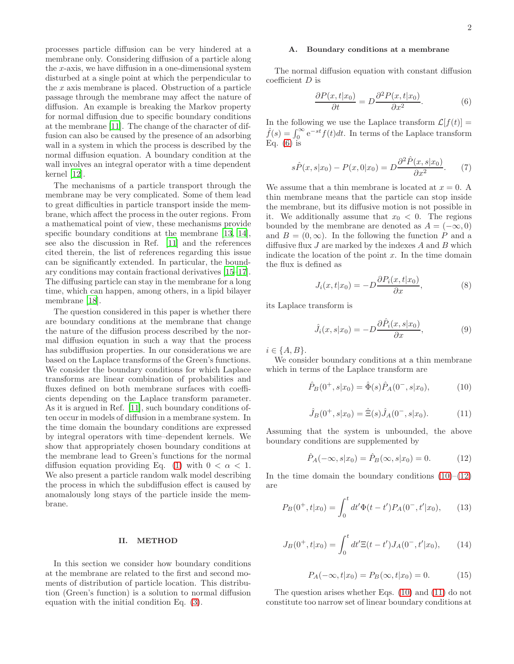processes particle diffusion can be very hindered at a membrane only. Considering diffusion of a particle along the  $x$ -axis, we have diffusion in a one-dimensional system disturbed at a single point at which the perpendicular to the  $x$  axis membrane is placed. Obstruction of a particle passage through the membrane may affect the nature of diffusion. An example is breaking the Markov property for normal diffusion due to specific boundary conditions at the membrane [\[11](#page-9-10)]. The change of the character of diffusion can also be caused by the presence of an adsorbing wall in a system in which the process is described by the normal diffusion equation. A boundary condition at the wall involves an integral operator with a time dependent kernel [\[12](#page-9-11)].

The mechanisms of a particle transport through the membrane may be very complicated. Some of them lead to great difficulties in particle transport inside the membrane, which affect the process in the outer regions. From a mathematical point of view, these mechanisms provide specific boundary conditions at the membrane [\[13,](#page-9-12) [14\]](#page-9-13), see also the discussion in Ref. [\[11](#page-9-10)] and the references cited therein, the list of references regarding this issue can be significantly extended. In particular, the boundary conditions may contain fractional derivatives [\[15](#page-9-14)[–17\]](#page-9-15). The diffusing particle can stay in the membrane for a long time, which can happen, among others, in a lipid bilayer membrane [\[18](#page-9-16)].

The question considered in this paper is whether there are boundary conditions at the membrane that change the nature of the diffusion process described by the normal diffusion equation in such a way that the process has subdiffusion properties. In our considerations we are based on the Laplace transforms of the Green's functions. We consider the boundary conditions for which Laplace transforms are linear combination of probabilities and fluxes defined on both membrane surfaces with coefficients depending on the Laplace transform parameter. As it is argued in Ref. [\[11\]](#page-9-10), such boundary conditions often occur in models of diffusion in a membrane system. In the time domain the boundary conditions are expressed by integral operators with time–dependent kernels. We show that appropriately chosen boundary conditions at the membrane lead to Green's functions for the normal diffusion equation providing Eq. [\(1\)](#page-0-2) with  $0 < \alpha < 1$ . We also present a particle random walk model describing the process in which the subdiffusion effect is caused by anomalously long stays of the particle inside the membrane.

# II. METHOD

In this section we consider how boundary conditions at the membrane are related to the first and second moments of distribution of particle location. This distribution (Green's function) is a solution to normal diffusion equation with the initial condition Eq. [\(3\)](#page-0-3).

### A. Boundary conditions at a membrane

The normal diffusion equation with constant diffusion coefficient D is

<span id="page-1-0"></span>
$$
\frac{\partial P(x,t|x_0)}{\partial t} = D \frac{\partial^2 P(x,t|x_0)}{\partial x^2}.
$$
 (6)

In the following we use the Laplace transform  $\mathcal{L}[f(t)] =$  $\hat{f}(s) = \int_0^\infty e^{-st} f(t) dt$ . In terms of the Laplace transform Eq.  $(6)$  is

$$
s\hat{P}(x,s|x_0) - P(x,0|x_0) = D\frac{\partial^2 \hat{P}(x,s|x_0)}{\partial x^2}.
$$
 (7)

We assume that a thin membrane is located at  $x = 0$ . A thin membrane means that the particle can stop inside the membrane, but its diffusive motion is not possible in it. We additionally assume that  $x_0 < 0$ . The regions bounded by the membrane are denoted as  $A = (-\infty, 0)$ and  $B = (0, \infty)$ . In the following the function P and a diffusive flux  $J$  are marked by the indexes  $A$  and  $B$  which indicate the location of the point  $x$ . In the time domain the flux is defined as

$$
J_i(x, t|x_0) = -D \frac{\partial P_i(x, t|x_0)}{\partial x}, \qquad (8)
$$

its Laplace transform is

<span id="page-1-6"></span>
$$
\hat{J}_i(x,s|x_0) = -D \frac{\partial \hat{P}_i(x,s|x_0)}{\partial x},\tag{9}
$$

 $i \in \{A, B\}.$ 

We consider boundary conditions at a thin membrane which in terms of the Laplace transform are

<span id="page-1-1"></span>
$$
\hat{P}_B(0^+, s|x_0) = \hat{\Phi}(s)\hat{P}_A(0^-, s|x_0), \tag{10}
$$

<span id="page-1-3"></span>
$$
\hat{J}_B(0^+, s | x_0) = \hat{\Xi}(s) \hat{J}_A(0^-, s | x_0). \tag{11}
$$

Assuming that the system is unbounded, the above boundary conditions are supplemented by

<span id="page-1-2"></span>
$$
\hat{P}_A(-\infty, s|x_0) = \hat{P}_B(\infty, s|x_0) = 0.
$$
 (12)

In the time domain the boundary conditions  $(10)$ – $(12)$ are

<span id="page-1-4"></span>
$$
P_B(0^+, t|x_0) = \int_0^t dt' \Phi(t - t') P_A(0^-, t'|x_0), \qquad (13)
$$

<span id="page-1-5"></span>
$$
J_B(0^+, t|x_0) = \int_0^t dt' \Xi(t - t') J_A(0^-, t'|x_0), \qquad (14)
$$

$$
P_A(-\infty, t|x_0) = P_B(\infty, t|x_0) = 0.
$$
 (15)

The question arises whether Eqs. [\(10\)](#page-1-1) and [\(11\)](#page-1-3) do not constitute too narrow set of linear boundary conditions at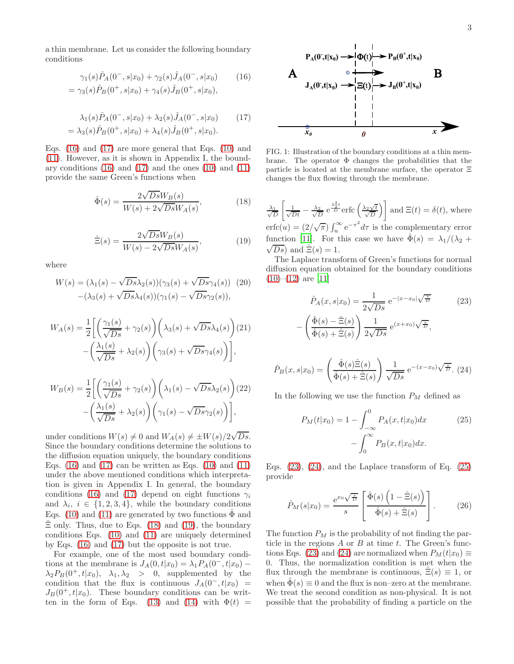a thin membrane. Let us consider the following boundary conditions

<span id="page-2-0"></span>
$$
\gamma_1(s)\hat{P}_A(0^-,s|x_0) + \gamma_2(s)\hat{J}_A(0^-,s|x_0)
$$
  
=  $\gamma_3(s)\hat{P}_B(0^+,s|x_0) + \gamma_4(s)\hat{J}_B(0^+,s|x_0),$  (16)

<span id="page-2-1"></span>
$$
\lambda_1(s)\hat{P}_A(0^-, s|x_0) + \lambda_2(s)\hat{J}_A(0^-, s|x_0)
$$
 (17)  
=  $\lambda_3(s)\hat{P}_B(0^+, s|x_0) + \lambda_4(s)\hat{J}_B(0^+, s|x_0)$ .

Eqs. [\(16\)](#page-2-0) and [\(17\)](#page-2-1) are more general that Eqs. [\(10\)](#page-1-1) and [\(11\)](#page-1-3). However, as it is shown in Appendix I, the boundary conditions  $(16)$  and  $(17)$  and the ones  $(10)$  and  $(11)$ provide the same Green's functions when

<span id="page-2-2"></span>
$$
\hat{\Phi}(s) = \frac{2\sqrt{Ds}W_B(s)}{W(s) + 2\sqrt{Ds}W_A(s)},\tag{18}
$$

<span id="page-2-3"></span>
$$
\hat{\Xi}(s) = \frac{2\sqrt{Ds}W_B(s)}{W(s) - 2\sqrt{Ds}W_A(s)},\tag{19}
$$

where

<span id="page-2-8"></span>
$$
W(s) = (\lambda_1(s) - \sqrt{Ds}\lambda_2(s))(\gamma_3(s) + \sqrt{Ds}\gamma_4(s))
$$
 (20)  

$$
-(\lambda_3(s) + \sqrt{Ds}\lambda_4(s))(\gamma_1(s) - \sqrt{Ds}\gamma_2(s)),
$$

<span id="page-2-9"></span>
$$
W_A(s) = \frac{1}{2} \left[ \left( \frac{\gamma_1(s)}{\sqrt{Ds}} + \gamma_2(s) \right) \left( \lambda_3(s) + \sqrt{Ds} \lambda_4(s) \right) (21) - \left( \frac{\lambda_1(s)}{\sqrt{Ds}} + \lambda_2(s) \right) \left( \gamma_3(s) + \sqrt{Ds} \gamma_4(s) \right) \right],
$$

<span id="page-2-10"></span>
$$
W_B(s) = \frac{1}{2} \left[ \left( \frac{\gamma_1(s)}{\sqrt{Ds}} + \gamma_2(s) \right) \left( \lambda_1(s) - \sqrt{Ds} \lambda_2(s) \right) (22) - \left( \frac{\lambda_1(s)}{\sqrt{Ds}} + \lambda_2(s) \right) \left( \gamma_1(s) - \sqrt{Ds} \gamma_2(s) \right) \right],
$$

under conditions  $W(s) \neq 0$  and  $W_A(s) \neq \pm W(s)/2\sqrt{Ds}$ . Since the boundary conditions determine the solutions to the diffusion equation uniquely, the boundary conditions Eqs.  $(16)$  and  $(17)$  can be written as Eqs.  $(10)$  and  $(11)$ under the above mentioned conditions which interpretation is given in Appendix I. In general, the boundary conditions [\(16\)](#page-2-0) and [\(17\)](#page-2-1) depend on eight functions  $\gamma_i$ and  $\lambda_i, i \in \{1, 2, 3, 4\}$ , while the boundary conditions Eqs. [\(10\)](#page-1-1) and [\(11\)](#page-1-3) are generated by two functions  $\Phi$  and  $\hat{\Xi}$  only. Thus, due to Eqs. [\(18\)](#page-2-2) and [\(19\)](#page-2-3), the boundary conditions Eqs. [\(10\)](#page-1-1) and [\(11\)](#page-1-3) are uniquely determined by Eqs. [\(16\)](#page-2-0) and [\(17\)](#page-2-1) but the opposite is not true.

For example, one of the most used boundary conditions at the membrane is  $J_A(0, t|x_0) = \lambda_1 P_A(0^-, t|x_0)$  –  $\lambda_2 P_B(0^+, t|x_0), \lambda_1, \lambda_2 > 0$ , supplemented by the condition that the flux is continuous  $J_A(0^-, t|x_0)$  =  $J_B(0^+, t|x_0)$ . These boundary conditions can be writ-ten in the form of Eqs. [\(13\)](#page-1-4) and [\(14\)](#page-1-5) with  $\Phi(t)$  =



FIG. 1: Illustration of the boundary conditions at a thin membrane. The operator  $\Phi$  changes the probabilities that the particle is located at the membrane surface, the operator Ξ changes the flux flowing through the membrane.

$$
\frac{\lambda_1}{\sqrt{D}} \left[ \frac{1}{\sqrt{Dt}} - \frac{\lambda_2}{\sqrt{D}} e^{\frac{\lambda_2^2 t}{D}} \text{erfc}\left(\frac{\lambda_2 \sqrt{t}}{\sqrt{D}}\right) \right] \text{ and } \Xi(t) = \delta(t), \text{ where}
$$
\n
$$
\text{erfc}(u) = (2/\sqrt{\pi}) \int_u^\infty e^{-\tau^2} d\tau \text{ is the complementary error}
$$
\nfunction [11]. For this case we have  $\hat{\Phi}(s) = \lambda_1/(\lambda_2 + \sqrt{Ds})$  and  $\hat{\Xi}(s) = 1$ .

The Laplace transform of Green's functions for normal diffusion equation obtained for the boundary conditions  $(10)–(12)$  $(10)–(12)$  $(10)–(12)$  are [\[11](#page-9-10)]

<span id="page-2-4"></span>
$$
\hat{P}_A(x, s|x_0) = \frac{1}{2\sqrt{Ds}} e^{-|x-x_0|\sqrt{\frac{s}{D}}}
$$
\n
$$
-\left(\frac{\hat{\Phi}(s) - \hat{\Xi}(s)}{\hat{\Phi}(s) + \hat{\Xi}(s)}\right) \frac{1}{2\sqrt{Ds}} e^{(x+x_0)\sqrt{\frac{s}{D}}},
$$
\n(23)

<span id="page-2-5"></span>
$$
\hat{P}_B(x,s|x_0) = \left(\frac{\hat{\Phi}(s)\hat{\Xi}(s)}{\hat{\Phi}(s) + \hat{\Xi}(s)}\right) \frac{1}{\sqrt{Ds}} e^{-(x-x_0)\sqrt{\frac{s}{D}}}. (24)
$$

In the following we use the function  $P_M$  defined as

<span id="page-2-6"></span>
$$
P_M(t|x_0) = 1 - \int_{-\infty}^0 P_A(x, t|x_0) dx
$$
 (25)  
- 
$$
\int_0^\infty P_B(x, t|x_0) dx.
$$

Eqs.  $(23)$ ,  $(24)$ , and the Laplace transform of Eq.  $(25)$ provide

<span id="page-2-7"></span>
$$
\hat{P}_M(s|x_0) = \frac{e^{x_0}\sqrt{\frac{s}{D}}}{s} \left[ \frac{\hat{\Phi}(s) \left(1 - \hat{\Xi}(s)\right)}{\hat{\Phi}(s) + \hat{\Xi}(s)} \right].
$$
 (26)

The function  $P_M$  is the probability of not finding the particle in the regions  $A$  or  $B$  at time  $t$ . The Green's func-tions Eqs. [\(23\)](#page-2-4) and [\(24\)](#page-2-5) are normalized when  $P_M(t|x_0) \equiv$ 0. Thus, the normalization condition is met when the flux through the membrane is continuous,  $\Xi(s) \equiv 1$ , or when  $\Phi(s) \equiv 0$  and the flux is non–zero at the membrane. We treat the second condition as non-physical. It is not possible that the probability of finding a particle on the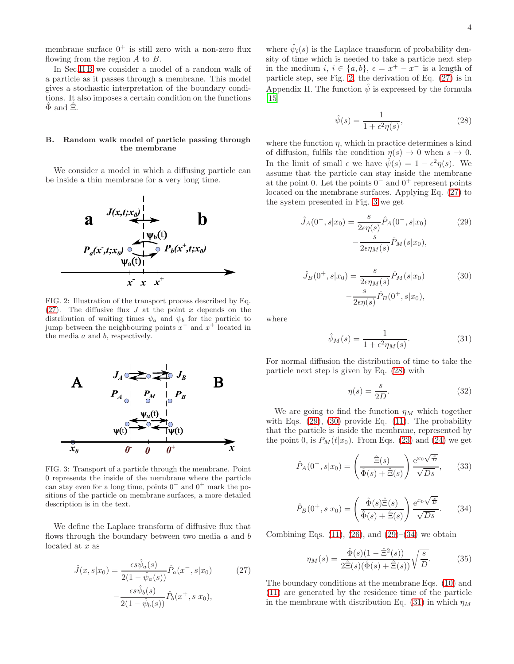membrane surface  $0^+$  is still zero with a non-zero flux flowing from the region  $A$  to  $B$ .

In Sec.IIB we consider a model of a random walk of a particle as it passes through a membrane. This model gives a stochastic interpretation of the boundary conditions. It also imposes a certain condition on the functions  $\Phi$  and  $\Xi$ .

### <span id="page-3-0"></span>B. Random walk model of particle passing through the membrane

We consider a model in which a diffusing particle can be inside a thin membrane for a very long time.



<span id="page-3-2"></span>FIG. 2: Illustration of the transport process described by Eq.  $(27)$ . The diffusive flux J at the point x depends on the distribution of waiting times  $\psi_a$  and  $\psi_b$  for the particle to jump between the neighbouring points  $x^-$  and  $x^+$  located in the media  $a$  and  $b$ , respectively.



<span id="page-3-3"></span>FIG. 3: Transport of a particle through the membrane. Point 0 represents the inside of the membrane where the particle can stay even for a long time, points  $0^-$  and  $0^+$  mark the positions of the particle on membrane surfaces, a more detailed description is in the text.

We define the Laplace transform of diffusive flux that flows through the boundary between two media  $a$  and  $b$ located at x as

<span id="page-3-1"></span>
$$
\hat{J}(x, s|x_0) = \frac{\epsilon s \hat{\psi}_a(s)}{2(1 - \hat{\psi}_a(s))} \hat{P}_a(x^-, s|x_0)
$$
(27)  

$$
-\frac{\epsilon s \hat{\psi}_b(s)}{2(1 - \hat{\psi}_b(s))} \hat{P}_b(x^+, s|x_0),
$$

where  $\hat{\psi}_i(s)$  is the Laplace transform of probability density of time which is needed to take a particle next step in the medium  $i, i \in \{a, b\}, \epsilon = x^+ - x^-$  is a length of particle step, see Fig.  $2$ , the derivation of Eq.  $(27)$  is in Appendix II. The function  $\hat{\psi}$  is expressed by the formula  $|15|$ 

<span id="page-3-4"></span>
$$
\hat{\psi}(s) = \frac{1}{1 + \epsilon^2 \eta(s)},\tag{28}
$$

where the function  $\eta$ , which in practice determines a kind of diffusion, fulfils the condition  $\eta(s) \to 0$  when  $s \to 0$ . In the limit of small  $\epsilon$  we have  $\hat{\psi}(s) = 1 - \epsilon^2 \eta(s)$ . We assume that the particle can stay inside the membrane at the point 0. Let the points  $0^-$  and  $0^+$  represent points located on the membrane surfaces. Applying Eq. [\(27\)](#page-3-1) to the system presented in Fig. [3](#page-3-3) we get

<span id="page-3-5"></span>
$$
\hat{J}_A(0^-, s|x_0) = \frac{s}{2\epsilon\eta(s)} \hat{P}_A(0^-, s|x_0)
$$
\n
$$
-\frac{s}{2\epsilon\eta_M(s)} \hat{P}_M(s|x_0),
$$
\n(29)

<span id="page-3-6"></span>
$$
\hat{J}_B(0^+, s|x_0) = \frac{s}{2\epsilon\eta_M(s)} \hat{P}_M(s|x_0)
$$
\n
$$
-\frac{s}{2\epsilon\eta(s)} \hat{P}_B(0^+, s|x_0),
$$
\n(30)

where

<span id="page-3-8"></span>
$$
\hat{\psi}_M(s) = \frac{1}{1 + \epsilon^2 \eta_M(s)}.\tag{31}
$$

For normal diffusion the distribution of time to take the particle next step is given by Eq. [\(28\)](#page-3-4) with

$$
\eta(s) = \frac{s}{2D}.\tag{32}
$$

We are going to find the function  $\eta_M$  which together with Eqs.  $(29)$ ,  $(30)$  provide Eq.  $(11)$ . The probability that the particle is inside the membrane, represented by the point 0, is  $P_M(t|x_0)$ . From Eqs. [\(23\)](#page-2-4) and [\(24\)](#page-2-5) we get

$$
\hat{P}_A(0^-, s|x_0) = \left(\frac{\hat{\Xi}(s)}{\hat{\Phi}(s) + \hat{\Xi}(s)}\right) \frac{e^{x_0 \sqrt{\frac{s}{D}}}}{\sqrt{Ds}},\qquad(33)
$$

<span id="page-3-7"></span>
$$
\hat{P}_B(0^+, s|x_0) = \left(\frac{\hat{\Phi}(s)\hat{\Xi}(s)}{\hat{\Phi}(s) + \hat{\Xi}(s)}\right) \frac{e^{x_0\sqrt{\frac{s}{D}}}}{\sqrt{Ds}}.\tag{34}
$$

Combining Eqs.  $(11)$ ,  $(26)$ , and  $(29)$ – $(34)$  we obtain

<span id="page-3-9"></span>
$$
\eta_M(s) = \frac{\hat{\Phi}(s)(1 - \hat{\Xi}^2(s))}{2\hat{\Xi}(s)(\hat{\Phi}(s) + \hat{\Xi}(s))} \sqrt{\frac{s}{D}}.
$$
\n(35)

The boundary conditions at the membrane Eqs. [\(10\)](#page-1-1) and [\(11\)](#page-1-3) are generated by the residence time of the particle in the membrane with distribution Eq. [\(31\)](#page-3-8) in which  $\eta_M$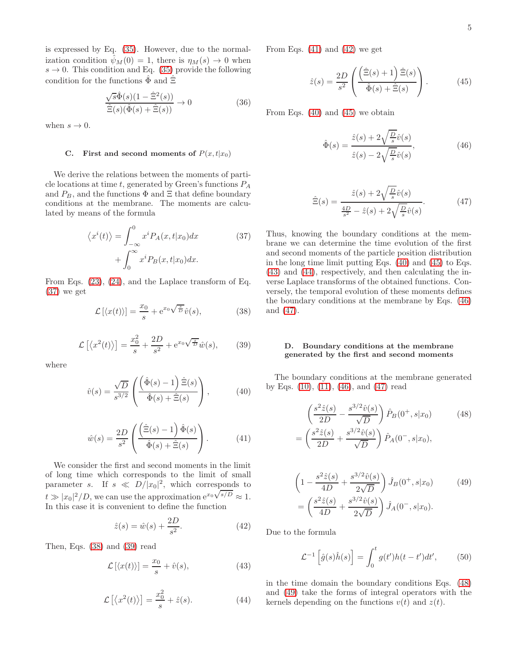is expressed by Eq. [\(35\)](#page-3-9). However, due to the normalization condition  $\psi_M(0) = 1$ , there is  $\eta_M(s) \to 0$  when  $s \to 0$ . This condition and Eq. [\(35\)](#page-3-9) provide the following condition for the functions  $\hat{\Phi}$  and  $\hat{\Xi}$ 

$$
\frac{\sqrt{s}\hat{\Phi}(s)(1-\hat{\Xi}^2(s))}{\hat{\Xi}(s)(\hat{\Phi}(s)+\hat{\Xi}(s))} \to 0 \tag{36}
$$

when  $s \to 0$ .

#### C. First and second moments of  $P(x, t|x_0)$

We derive the relations between the moments of particle locations at time  $t$ , generated by Green's functions  $P_A$ and  $P_B$ , and the functions  $\Phi$  and  $\Xi$  that define boundary conditions at the membrane. The moments are calculated by means of the formula

<span id="page-4-0"></span>
$$
\langle x^{i}(t) \rangle = \int_{-\infty}^{0} x^{i} P_{A}(x, t | x_{0}) dx
$$

$$
+ \int_{0}^{\infty} x^{i} P_{B}(x, t | x_{0}) dx.
$$
 (37)

From Eqs. [\(23\)](#page-2-4), [\(24\)](#page-2-5), and the Laplace transform of Eq. [\(37\)](#page-4-0) we get

<span id="page-4-1"></span>
$$
\mathcal{L}\left[\langle x(t)\rangle\right] = \frac{x_0}{s} + e^{x_0\sqrt{\frac{s}{D}}}\hat{v}(s),\tag{38}
$$

<span id="page-4-2"></span>
$$
\mathcal{L}\left[\left\langle x^2(t)\right\rangle\right] = \frac{x_0^2}{s} + \frac{2D}{s^2} + e^{x_0\sqrt{\frac{s}{D}}}\hat{w}(s),\tag{39}
$$

where

<span id="page-4-5"></span>
$$
\hat{v}(s) = \frac{\sqrt{D}}{s^{3/2}} \left( \frac{\left( \hat{\Phi}(s) - 1 \right) \hat{\Xi}(s)}{\hat{\Phi}(s) + \hat{\Xi}(s)} \right),\tag{40}
$$

<span id="page-4-3"></span>
$$
\hat{w}(s) = \frac{2D}{s^2} \left( \frac{\left(\hat{\Xi}(s) - 1\right) \hat{\Phi}(s)}{\hat{\Phi}(s) + \hat{\Xi}(s)} \right). \tag{41}
$$

We consider the first and second moments in the limit of long time which corresponds to the limit of small parameter s. If  $s \ll D/|x_0|^2$ , which corresponds to  $t \gg |x_0|^2/D$ , we can use the approximation  $e^{x_0}\sqrt{s/D} \approx 1$ . In this case it is convenient to define the function

<span id="page-4-4"></span>
$$
\hat{z}(s) = \hat{w}(s) + \frac{2D}{s^2}.
$$
 (42)

Then, Eqs. [\(38\)](#page-4-1) and [\(39\)](#page-4-2) read

<span id="page-4-7"></span>
$$
\mathcal{L}\left[\langle x(t)\rangle\right] = \frac{x_0}{s} + \hat{v}(s),\tag{43}
$$

<span id="page-4-8"></span>
$$
\mathcal{L}\left[\left\langle x^2(t)\right\rangle\right] = \frac{x_0^2}{s} + \hat{z}(s). \tag{44}
$$

From Eqs.  $(41)$  and  $(42)$  we get

<span id="page-4-6"></span>
$$
\hat{z}(s) = \frac{2D}{s^2} \left( \frac{\left(\hat{\Xi}(s) + 1\right) \hat{\Xi}(s)}{\hat{\Phi}(s) + \hat{\Xi}(s)} \right). \tag{45}
$$

From Eqs. [\(40\)](#page-4-5) and [\(45\)](#page-4-6) we obtain

<span id="page-4-9"></span>
$$
\hat{\Phi}(s) = \frac{\hat{z}(s) + 2\sqrt{\frac{D}{s}}\hat{v}(s)}{\hat{z}(s) - 2\sqrt{\frac{D}{s}}\hat{v}(s)},
$$
\n(46)

<span id="page-4-10"></span>
$$
\hat{\Xi}(s) = \frac{\hat{z}(s) + 2\sqrt{\frac{D}{s}}\hat{v}(s)}{\frac{4D}{s^2} - \hat{z}(s) + 2\sqrt{\frac{D}{s}}\hat{v}(s)}.
$$
(47)

Thus, knowing the boundary conditions at the membrane we can determine the time evolution of the first and second moments of the particle position distribution in the long time limit putting Eqs. [\(40\)](#page-4-5) and [\(45\)](#page-4-6) to Eqs. [\(43\)](#page-4-7) and [\(44\)](#page-4-8), respectively, and then calculating the inverse Laplace transforms of the obtained functions. Conversely, the temporal evolution of these moments defines the boundary conditions at the membrane by Eqs. [\(46\)](#page-4-9) and [\(47\)](#page-4-10).

# D. Boundary conditions at the membrane generated by the first and second moments

The boundary conditions at the membrane generated by Eqs. [\(10\)](#page-1-1), [\(11\)](#page-1-3), [\(46\)](#page-4-9), and [\(47\)](#page-4-10) read

<span id="page-4-11"></span>
$$
\left(\frac{s^2\hat{z}(s)}{2D} - \frac{s^{3/2}\hat{v}(s)}{\sqrt{D}}\right)\hat{P}_B(0^+,s|x_0) \tag{48}
$$
\n
$$
= \left(\frac{s^2\hat{z}(s)}{2D} + \frac{s^{3/2}\hat{v}(s)}{\sqrt{D}}\right)\hat{P}_A(0^-,s|x_0),
$$

<span id="page-4-12"></span>
$$
\left(1 - \frac{s^2 \hat{z}(s)}{4D} + \frac{s^{3/2} \hat{v}(s)}{2\sqrt{D}}\right) \hat{J}_B(0^+, s|x_0) \tag{49}
$$
\n
$$
= \left(\frac{s^2 \hat{z}(s)}{4D} + \frac{s^{3/2} \hat{v}(s)}{2\sqrt{D}}\right) \hat{J}_A(0^-, s|x_0).
$$

Due to the formula

$$
\mathcal{L}^{-1}\left[\hat{g}(s)\hat{h}(s)\right] = \int_0^t g(t')h(t-t')dt',\qquad(50)
$$

in the time domain the boundary conditions Eqs. [\(48\)](#page-4-11) and [\(49\)](#page-4-12) take the forms of integral operators with the kernels depending on the functions  $v(t)$  and  $z(t)$ .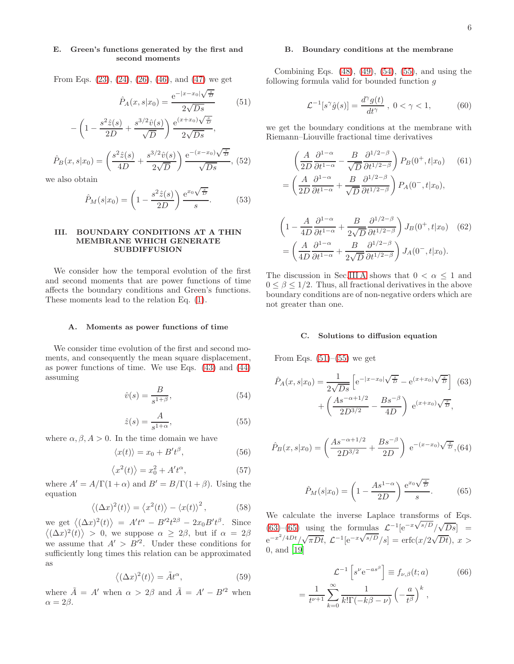# E. Green's functions generated by the first and second moments

From Eqs. [\(23\)](#page-2-4), [\(24\)](#page-2-5), [\(26\)](#page-2-7), [\(46\)](#page-4-9), and [\(47\)](#page-4-10) we get

<span id="page-5-3"></span>
$$
\hat{P}_A(x, s|x_0) = \frac{e^{-|x-x_0|\sqrt{\frac{s}{D}}}}{2\sqrt{Ds}} \tag{51}
$$

$$
-\left(1 - \frac{s^2 \hat{z}(s)}{2D} + \frac{s^{3/2} \hat{v}(s)}{\sqrt{D}}\right) \frac{e^{(x+x_0)\sqrt{\frac{s}{D}}}}{2\sqrt{Ds}},
$$

$$
\hat{P}_B(x,s|x_0) = \left(\frac{s^2 \hat{z}(s)}{4D} + \frac{s^{3/2} \hat{v}(s)}{2\sqrt{D}}\right) \frac{e^{-(x-x_0)} \sqrt{\frac{s}{D}}}{\sqrt{Ds}},
$$
(52)

we also obtain

$$
\hat{P}_M(s|x_0) = \left(1 - \frac{s^2 \hat{z}(s)}{2D}\right) \frac{e^{x_0} \sqrt{\frac{s}{D}}}{s}.
$$
 (53)

## III. BOUNDARY CONDITIONS AT A THIN MEMBRANE WHICH GENERATE SUBDIFFUSION

We consider how the temporal evolution of the first and second moments that are power functions of time affects the boundary conditions and Green's functions. These moments lead to the relation Eq. [\(1\)](#page-0-2).

#### <span id="page-5-2"></span>A. Moments as power functions of time

We consider time evolution of the first and second moments, and consequently the mean square displacement, as power functions of time. We use Eqs. [\(43\)](#page-4-7) and [\(44\)](#page-4-8) assuming

<span id="page-5-0"></span>
$$
\hat{v}(s) = \frac{B}{s^{1+\beta}},\tag{54}
$$

<span id="page-5-1"></span>
$$
\hat{z}(s) = \frac{A}{s^{1+\alpha}},\tag{55}
$$

where  $\alpha, \beta, A > 0$ . In the time domain we have

$$
\langle x(t) \rangle = x_0 + B't^{\beta}, \tag{56}
$$

$$
\langle x^2(t) \rangle = x_0^2 + A't^\alpha, \tag{57}
$$

where  $A' = A/\Gamma(1+\alpha)$  and  $B' = B/\Gamma(1+\beta)$ . Using the equation

$$
\langle (\Delta x)^2(t) \rangle = \langle x^2(t) \rangle - \langle x(t) \rangle^2, \qquad (58)
$$

we get  $\langle (\Delta x)^2(t) \rangle = A't^{\alpha} - B'^2t^{2\beta} - 2x_0B't^{\beta}$ . Since  $\langle (\Delta x)^2(t) \rangle > 0$ , we suppose  $\alpha \geq 2\beta$ , but if  $\alpha = 2\beta$ we assume that  $A' > B'^2$ . Under these conditions for sufficiently long times this relation can be approximated as

$$
\langle (\Delta x)^2(t) \rangle = \tilde{A}t^{\alpha},\tag{59}
$$

where  $\tilde{A} = A'$  when  $\alpha > 2\beta$  and  $\tilde{A} = A' - B'^2$  when  $\alpha = 2\beta$ .

### B. Boundary conditions at the membrane

Combining Eqs. [\(48\)](#page-4-11), [\(49\)](#page-4-12), [\(54\)](#page-5-0), [\(55\)](#page-5-1), and using the following formula valid for bounded function  $\boldsymbol{g}$ 

$$
\mathcal{L}^{-1}[s^{\gamma}\hat{g}(s)] = \frac{d^{\gamma}g(t)}{dt^{\gamma}} , 0 < \gamma < 1,
$$
 (60)

we get the boundary conditions at the membrane with Riemann–Liouville fractional time derivatives

<span id="page-5-6"></span>
$$
\left(\frac{A}{2D}\frac{\partial^{1-\alpha}}{\partial t^{1-\alpha}} - \frac{B}{\sqrt{D}}\frac{\partial^{1/2-\beta}}{\partial t^{1/2-\beta}}\right) P_B(0^+, t|x_0) \quad (61)
$$

$$
= \left(\frac{A}{2D}\frac{\partial^{1-\alpha}}{\partial t^{1-\alpha}} + \frac{B}{\sqrt{D}}\frac{\partial^{1/2-\beta}}{\partial t^{1/2-\beta}}\right) P_A(0^-, t|x_0),
$$

<span id="page-5-7"></span>
$$
\left(1 - \frac{A}{4D} \frac{\partial^{1-\alpha}}{\partial t^{1-\alpha}} + \frac{B}{2\sqrt{D}} \frac{\partial^{1/2-\beta}}{\partial t^{1/2-\beta}} \right) J_B(0^+, t|x_0) \quad (62)
$$

$$
= \left(\frac{A}{4D} \frac{\partial^{1-\alpha}}{\partial t^{1-\alpha}} + \frac{B}{2\sqrt{D}} \frac{\partial^{1/2-\beta}}{\partial t^{1/2-\beta}} \right) J_A(0^-, t|x_0).
$$

The discussion in Sec[.III A](#page-5-2) shows that  $0 < \alpha \leq 1$  and  $0 \leq \beta \leq 1/2$ . Thus, all fractional derivatives in the above boundary conditions are of non-negative orders which are not greater than one.

### C. Solutions to diffusion equation

From Eqs.  $(51)–(55)$  $(51)–(55)$  we get

<span id="page-5-4"></span>
$$
\hat{P}_A(x, s|x_0) = \frac{1}{2\sqrt{Ds}} \left[ e^{-|x-x_0|\sqrt{\frac{s}{D}}} - e^{(x+x_0)\sqrt{\frac{s}{D}}} \right] (63)
$$

$$
+ \left( \frac{As^{-\alpha+1/2}}{2D^{3/2}} - \frac{Bs^{-\beta}}{4D} \right) e^{(x+x_0)\sqrt{\frac{s}{D}}},
$$

$$
\hat{P}_B(x,s|x_0) = \left(\frac{As^{-\alpha+1/2}}{2D^{3/2}} + \frac{Bs^{-\beta}}{2D}\right) e^{-(x-x_0)\sqrt{\frac{s}{D}}},
$$
(64)

<span id="page-5-5"></span>
$$
\hat{P}_M(s|x_0) = \left(1 - \frac{As^{1-\alpha}}{2D}\right) \frac{e^{x_0 \sqrt{\frac{s}{D}}}}{s}.
$$
 (65)

We calculate the inverse Laplace transforms of Eqs. [\(63\)](#page-5-4)–[\(65\)](#page-5-5) using the formulas  $\mathcal{L}^{-1}[e^{-x\sqrt{s/D}}/\sqrt{Ds}] =$  $e^{-x^2/4Dt}/\sqrt{\pi Dt}$ ,  $\mathcal{L}^{-1}[e^{-x\sqrt{s/D}}/s] = \text{erfc}(x/2\sqrt{Dt})$ ,  $x >$ 0, and [\[19](#page-9-17)]

<span id="page-5-8"></span>
$$
\mathcal{L}^{-1}\left[s^{\nu}e^{-as^{\beta}}\right] \equiv f_{\nu,\beta}(t;a) \tag{66}
$$

$$
= \frac{1}{t^{\nu+1}} \sum_{k=0}^{\infty} \frac{1}{k!\Gamma(-k\beta - \nu)} \left(-\frac{a}{t^{\beta}}\right)^{k},
$$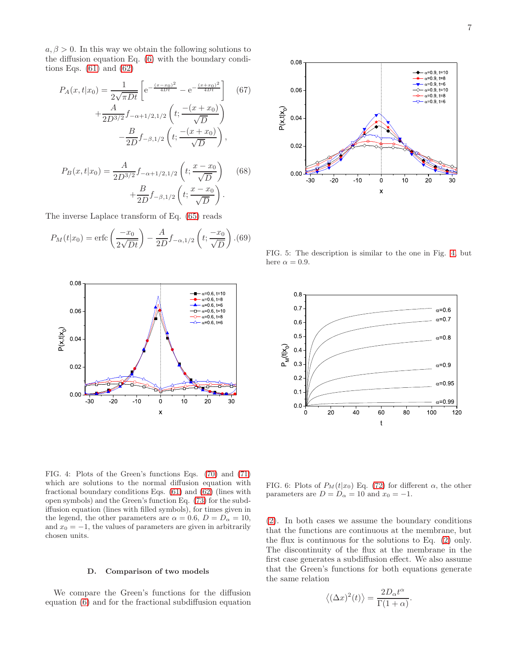$a, \beta > 0$ . In this way we obtain the following solutions to the diffusion equation Eq. [\(6\)](#page-1-0) with the boundary conditions Eqs.  $(61)$  and  $(62)$ 

$$
P_A(x,t|x_0) = \frac{1}{2\sqrt{\pi Dt}} \left[ e^{-\frac{(x-x_0)^2}{4Dt}} - e^{-\frac{(x+x_0)^2}{4Dt}} \right] \quad (67)
$$

$$
+ \frac{A}{2D^{3/2}} f_{-\alpha+1/2,1/2} \left( t; \frac{-(x+x_0)}{\sqrt{D}} \right)
$$

$$
- \frac{B}{2D} f_{-\beta,1/2} \left( t; \frac{-(x+x_0)}{\sqrt{D}} \right),
$$

$$
P_B(x, t|x_0) = \frac{A}{2D^{3/2}} f_{-\alpha+1/2, 1/2} \left( t; \frac{x - x_0}{\sqrt{D}} \right) \quad (68)
$$

$$
+ \frac{B}{2D} f_{-\beta, 1/2} \left( t; \frac{x - x_0}{\sqrt{D}} \right).
$$

The inverse Laplace transform of Eq. [\(65\)](#page-5-5) reads

$$
P_M(t|x_0) = \text{erfc}\left(\frac{-x_0}{2\sqrt{Dt}}\right) - \frac{A}{2D}f_{-\alpha,1/2}\left(t; \frac{-x_0}{\sqrt{D}}\right). (69)
$$





<span id="page-6-1"></span>FIG. 5: The description is similar to the one in Fig. [4,](#page-6-0) but here  $\alpha = 0.9$ .



<span id="page-6-0"></span>FIG. 4: Plots of the Green's functions Eqs. [\(70\)](#page-7-0) and [\(71\)](#page-7-1) which are solutions to the normal diffusion equation with fractional boundary conditions Eqs. [\(61\)](#page-5-6) and [\(62\)](#page-5-7) (lines with open symbols) and the Green's function Eq. [\(73\)](#page-7-2) for the subdiffusion equation (lines with filled symbols), for times given in the legend, the other parameters are  $\alpha = 0.6$ ,  $D = D_{\alpha} = 10$ , and  $x_0 = -1$ , the values of parameters are given in arbitrarily chosen units.

## D. Comparison of two models

We compare the Green's functions for the diffusion equation [\(6\)](#page-1-0) and for the fractional subdiffusion equation

FIG. 6: Plots of  $P_M(t|x_0)$  Eq. [\(72\)](#page-7-3) for different  $\alpha$ , the other parameters are  $D = D_{\alpha} = 10$  and  $x_0 = -1$ .

[\(2\)](#page-0-4). In both cases we assume the boundary conditions that the functions are continuous at the membrane, but the flux is continuous for the solutions to Eq. [\(2\)](#page-0-4) only. The discontinuity of the flux at the membrane in the first case generates a subdiffusion effect. We also assume that the Green's functions for both equations generate the same relation

$$
\langle (\Delta x)^2(t) \rangle = \frac{2D_{\alpha}t^{\alpha}}{\Gamma(1+\alpha)}.
$$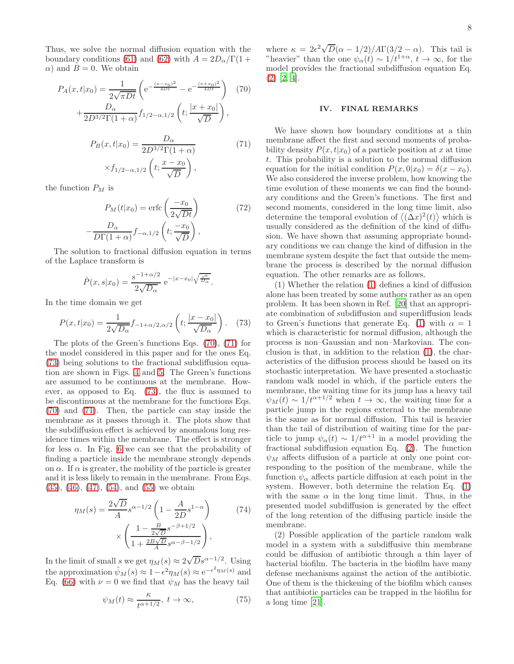Thus, we solve the normal diffusion equation with the boundary conditions [\(61\)](#page-5-6) and [\(62\)](#page-5-7) with  $A = 2D_{\alpha}/\Gamma(1 +$  $\alpha$ ) and  $B = 0$ . We obtain

<span id="page-7-0"></span>
$$
P_A(x, t|x_0) = \frac{1}{2\sqrt{\pi Dt}} \left( e^{-\frac{(x-x_0)^2}{4Dt}} - e^{-\frac{(x+x_0)^2}{4Dt}} \right) (70)
$$

$$
+ \frac{D_\alpha}{2D^{3/2}\Gamma(1+\alpha)} f_{1/2-\alpha,1/2} \left( t; \frac{|x+x_0|}{\sqrt{D}} \right),
$$

$$
P_B(x, t|x_0) = \frac{D_\alpha}{2D^{3/2}\Gamma(1+\alpha)} (71)
$$

<span id="page-7-1"></span>
$$
\times f_{1/2-\alpha,1/2}\left(t; \frac{x-x_0}{\sqrt{D}}\right),\,
$$

the function  $P_M$  is

<span id="page-7-3"></span>
$$
P_M(t|x_0) = \text{erfc}\left(\frac{-x_0}{2\sqrt{Dt}}\right) \tag{72}
$$

$$
-\frac{D_\alpha}{D\Gamma(1+\alpha)}f_{-\alpha,1/2}\left(t;\frac{-x_0}{\sqrt{D}}\right),
$$

The solution to fractional diffusion equation in terms of the Laplace transform is

$$
\hat{P}(x,s|x_0) = \frac{s^{-1+\alpha/2}}{2\sqrt{D_\alpha}} e^{-|x-x_0| \sqrt{\frac{s^\alpha}{D_\alpha}}}.
$$

In the time domain we get

<span id="page-7-2"></span>
$$
P(x,t|x_0) = \frac{1}{2\sqrt{D_{\alpha}}} f_{-1+\alpha/2,\alpha/2} \left( t; \frac{|x-x_0|}{\sqrt{D_{\alpha}}} \right). \quad (73)
$$

The plots of the Green's functions Eqs. [\(70\)](#page-7-0), [\(71\)](#page-7-1) for the model considered in this paper and for the ones Eq. [\(73\)](#page-7-2) being solutions to the fractional subdiffusion equation are shown in Figs. [4](#page-6-0) and [5.](#page-6-1) The Green's functions are assumed to be continuous at the membrane. However, as opposed to Eq. [\(73\)](#page-7-2), the flux is assumed to be discontinuous at the membrane for the functions Eqs. [\(70\)](#page-7-0) and [\(71\)](#page-7-1). Then, the particle can stay inside the membrane as it passes through it. The plots show that the subdiffusion effect is achieved by anomalous long residence times within the membrane. The effect is stronger for less  $\alpha$ . In Fig. [6](#page-1-0) we can see that the probability of finding a particle inside the membrane strongly depends on  $\alpha$ . If  $\alpha$  is greater, the mobility of the particle is greater and it is less likely to remain in the membrane. From Eqs. [\(35\)](#page-3-9), [\(46\)](#page-4-9), [\(47\)](#page-4-10), [\(54\)](#page-5-0), and [\(55\)](#page-5-1) we obtain

$$
\eta_M(s) = \frac{2\sqrt{D}}{A} s^{\alpha - 1/2} \left( 1 - \frac{A}{2D} s^{1-\alpha} \right) \times \left( \frac{1 - \frac{B}{2\sqrt{D}} s^{-\beta + 1/2}}{1 + \frac{2B\sqrt{D}}{A} s^{\alpha - \beta - 1/2}} \right),
$$
\n(74)

In the limit of small s we get  $\eta_M(s) \approx 2\sqrt{D} s^{\alpha - 1/2}$ . Using the approximation  $\hat{\psi}_M(s) \approx 1 - \epsilon^2 \eta_M(s) \approx e^{-\epsilon^2 \eta_M(s)}$  and Eq. [\(66\)](#page-5-8) with  $\nu = 0$  we find that  $\psi_M$  has the heavy tail

$$
\psi_M(t) \approx \frac{\kappa}{t^{\alpha+1/2}}, \ t \to \infty,
$$
\n(75)

# IV. FINAL REMARKS

We have shown how boundary conditions at a thin membrane affect the first and second moments of probability density  $P(x, t|x_0)$  of a particle position at x at time t. This probability is a solution to the normal diffusion equation for the initial condition  $P(x, 0|x_0) = \delta(x - x_0)$ . We also considered the inverse problem, how knowing the time evolution of these moments we can find the boundary conditions and the Green's functions. The first and second moments, considered in the long time limit, also determine the temporal evolution of  $\langle (\Delta x)^2(t) \rangle$  which is usually considered as the definition of the kind of diffusion. We have shown that assuming appropriate boundary conditions we can change the kind of diffusion in the membrane system despite the fact that outside the membrane the process is described by the normal diffusion equation. The other remarks are as follows.

(1) Whether the relation [\(1\)](#page-0-2) defines a kind of diffusion alone has been treated by some authors rather as an open problem. It has been shown in Ref. [\[20\]](#page-9-18) that an appropriate combination of subdiffusion and superdiffusion leads to Green's functions that generate Eq. [\(1\)](#page-0-2) with  $\alpha = 1$ which is characteristic for normal diffusion, although the process is non–Gaussian and non–Markovian. The conclusion is that, in addition to the relation [\(1\)](#page-0-2), the characteristics of the diffusion process should be based on its stochastic interpretation. We have presented a stochastic random walk model in which, if the particle enters the membrane, the waiting time for its jump has a heavy tail  $\psi_M(t) \sim 1/t^{\alpha+1/2}$  when  $t \to \infty$ , the waiting time for a particle jump in the regions external to the membrane is the same as for normal diffusion. This tail is heavier than the tail of distribution of waiting time for the particle to jump  $\psi_{\alpha}(t) \sim 1/t^{\alpha+1}$  in a model providing the fractional subdiffusion equation Eq. [\(2\)](#page-0-4). The function  $\psi_M$  affects diffusion of a particle at only one point corresponding to the position of the membrane, while the function  $\psi_{\alpha}$  affects particle diffusion at each point in the system. However, both determine the relation Eq. [\(1\)](#page-0-2) with the same  $\alpha$  in the long time limit. Thus, in the presented model subdiffusion is generated by the effect of the long retention of the diffusing particle inside the membrane.

(2) Possible application of the particle random walk model in a system with a subdiffusive thin membrane could be diffusion of antibiotic through a thin layer of bacterial biofilm. The bacteria in the biofilm have many defense mechanisms against the action of the antibiotic. One of them is the thickening of the biofilm which causes that antibiotic particles can be trapped in the biofilm for a long time [\[21](#page-9-19)].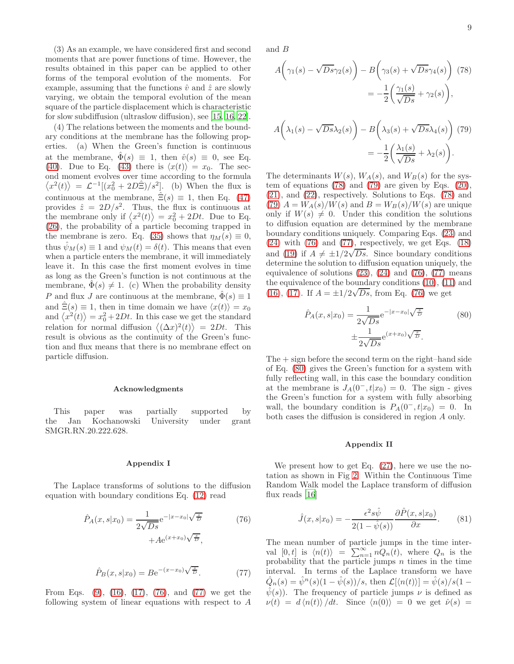(3) As an example, we have considered first and second moments that are power functions of time. However, the results obtained in this paper can be applied to other forms of the temporal evolution of the moments. For example, assuming that the functions  $\hat{v}$  and  $\hat{z}$  are slowly varying, we obtain the temporal evolution of the mean square of the particle displacement which is characteristic for slow subdiffusion (ultraslow diffusion), see [\[15,](#page-9-14) [16,](#page-9-20) [22\]](#page-9-21).

(4) The relations between the moments and the boundary conditions at the membrane has the following properties. (a) When the Green's function is continuous at the membrane,  $\hat{\Phi}(s) \equiv 1$ , then  $\hat{v}(s) \equiv 0$ , see Eq. [\(40\)](#page-4-5). Due to Eq. [\(43\)](#page-4-7) there is  $\langle x(t)\rangle = x_0$ . The second moment evolves over time according to the formula  $\langle x^2(t) \rangle = \mathcal{L}^{-1}[(x_0^2 + 2D\hat{\Xi})/s^2]$ . (b) When the flux is continuous at the membrane,  $\Xi(s) \equiv 1$ , then Eq. [\(47\)](#page-4-10) provides  $\hat{z} = 2D/s^2$ . Thus, the flux is continuous at the membrane only if  $\langle x^2(t) \rangle = x_0^2 + 2Dt$ . Due to Eq. [\(26\)](#page-2-7), the probability of a particle becoming trapped in the membrane is zero. Eq. [\(35\)](#page-3-9) shows that  $\eta_M(s) \equiv 0$ , thus  $\psi_M(s) \equiv 1$  and  $\psi_M(t) = \delta(t)$ . This means that even when a particle enters the membrane, it will immediately leave it. In this case the first moment evolves in time as long as the Green's function is not continuous at the membrane,  $\hat{\Phi}(s) \neq 1$ . (c) When the probability density P and flux J are continuous at the membrane,  $\hat{\Phi}(s) \equiv 1$ and  $\Xi(s) \equiv 1$ , then in time domain we have  $\langle x(t) \rangle = x_0$ and  $\langle x^2(t) \rangle = x_0^2 + 2Dt$ . In this case we get the standard relation for normal diffusion  $\langle (\Delta x)^2(t) \rangle = 2Dt$ . This result is obvious as the continuity of the Green's function and flux means that there is no membrane effect on particle diffusion.

#### Acknowledgments

This paper was partially supported by the Jan Kochanowski University under grant SMGR.RN.20.222.628.

#### Appendix I

The Laplace transforms of solutions to the diffusion equation with boundary conditions Eq. [\(12\)](#page-1-2) read

<span id="page-8-0"></span>
$$
\hat{P}_A(x, s|x_0) = \frac{1}{2\sqrt{Ds}} e^{-|x-x_0|\sqrt{\frac{s}{D}}}
$$
\n
$$
+ Ae^{(x+x_0)\sqrt{\frac{s}{D}}},
$$
\n(76)

<span id="page-8-1"></span>
$$
\hat{P}_B(x, s|x_0) = Be^{-(x-x_0)\sqrt{\frac{s}{D}}}.
$$
\n(77)

From Eqs. [\(9\)](#page-1-6), [\(16\)](#page-2-0), [\(17\)](#page-2-1), [\(76\)](#page-8-0), and [\(77\)](#page-8-1) we get the following system of linear equations with respect to A

and B

<span id="page-8-2"></span>
$$
A\left(\gamma_1(s) - \sqrt{Ds}\gamma_2(s)\right) - B\left(\gamma_3(s) + \sqrt{Ds}\gamma_4(s)\right) \tag{78}
$$

$$
= -\frac{1}{2}\left(\frac{\gamma_1(s)}{\sqrt{Ds}} + \gamma_2(s)\right),
$$

<span id="page-8-3"></span>
$$
A\left(\lambda_1(s) - \sqrt{Ds}\lambda_2(s)\right) - B\left(\lambda_3(s) + \sqrt{Ds}\lambda_4(s)\right)
$$
(79)  
= 
$$
-\frac{1}{2}\left(\frac{\lambda_1(s)}{\sqrt{Ds}} + \lambda_2(s)\right).
$$

The determinants  $W(s)$ ,  $W_A(s)$ , and  $W_B(s)$  for the system of equations [\(78\)](#page-8-2) and [\(79\)](#page-8-3) are given by Eqs. [\(20\)](#page-2-8), [\(21\)](#page-2-9), and [\(22\)](#page-2-10), respectively. Solutions to Eqs. [\(78\)](#page-8-2) and [\(79\)](#page-8-3)  $A = W_A(s)/W(s)$  and  $B = W_B(s)/W(s)$  are unique only if  $W(s) \neq 0$ . Under this condition the solutions to diffusion equation are determined by the membrane boundary conditions uniquely. Comparing Eqs. [\(23\)](#page-2-4) and [\(24\)](#page-2-5) with [\(76\)](#page-8-0) and [\(77\)](#page-8-1), respectively, we get Eqs. [\(18\)](#page-2-2) and [\(19\)](#page-2-3) if  $A \neq \pm 1/2\sqrt{Ds}$ . Since boundary conditions determine the solution to diffusion equation uniquely, the equivalence of solutions  $(23)$ ,  $(24)$  and  $(76)$ ,  $(77)$  means the equivalence of the boundary conditions [\(10\)](#page-1-1), [\(11\)](#page-1-3) and [\(16\)](#page-2-0), [\(17\)](#page-2-1). If  $A = \pm 1/2\sqrt{Ds}$ , from Eq. [\(76\)](#page-8-0) we get

<span id="page-8-4"></span>
$$
\hat{P}_A(x, s|x_0) = \frac{1}{2\sqrt{Ds}} e^{-|x - x_0|\sqrt{\frac{s}{D}}}
$$
\n
$$
\pm \frac{1}{2\sqrt{Ds}} e^{(x + x_0)\sqrt{\frac{s}{D}}}. \tag{80}
$$

 $The + sign before the second term on the right of the side$ of Eq. [\(80\)](#page-8-4) gives the Green's function for a system with fully reflecting wall, in this case the boundary condition at the membrane is  $J_A(0^-, t|x_0) = 0$ . The sign - gives the Green's function for a system with fully absorbing wall, the boundary condition is  $P_A(0^-, t|x_0) = 0$ . In both cases the diffusion is considered in region A only.

#### Appendix II

We present how to get Eq. [\(27\)](#page-3-1), here we use the notation as shown in Fig [2.](#page-3-2) Within the Continuous Time Random Walk model the Laplace transform of diffusion flux reads [\[16\]](#page-9-20)

$$
\hat{J}(x,s|x_0) = -\frac{\epsilon^2 s\hat{\psi}}{2(1-\hat{\psi}(s))} \frac{\partial \hat{P}(x,s|x_0)}{\partial x}.
$$
 (81)

The mean number of particle jumps in the time interval  $[0, t]$  is  $\langle n(t) \rangle = \sum_{n=1}^{\infty} n Q_n(t)$ , where  $Q_n$  is the probability that the particle jumps  $n$  times in the time interval. In terms of the Laplace transform we have  $\hat{Q}_n(s) = \hat{\psi}^n(s)(1 - \hat{\psi}(s))/s$ , then  $\mathcal{L}[\langle n(t) \rangle] = \hat{\psi}(s)/s(1 - \frac{1}{s})$  $\hat{\psi}(s)$ . The frequency of particle jumps  $\nu$  is defined as  $\nu(t) = d \langle n(t) \rangle / dt.$  Since  $\langle n(0) \rangle = 0$  we get  $\hat{\nu}(s) =$